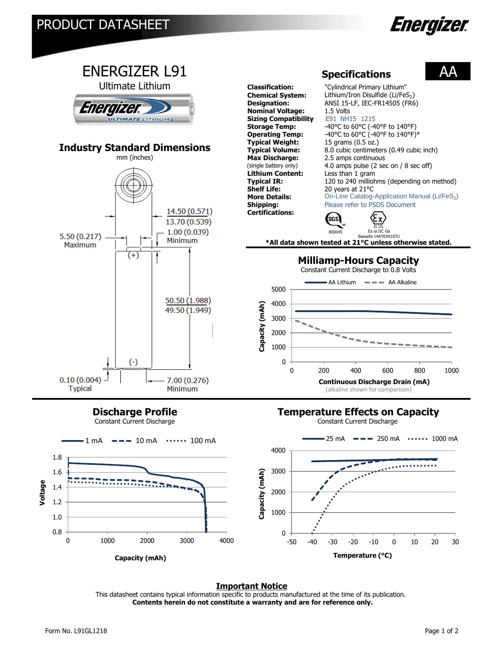



**Discharge Profile**

Constant Current Discharge

## **Temperature Effects on Capacity**





## **Important Notice**

This datasheet contains typical information specific to products manufactured at the time of its publication.  **Contents herein do not constitute a warranty and are for reference only.**